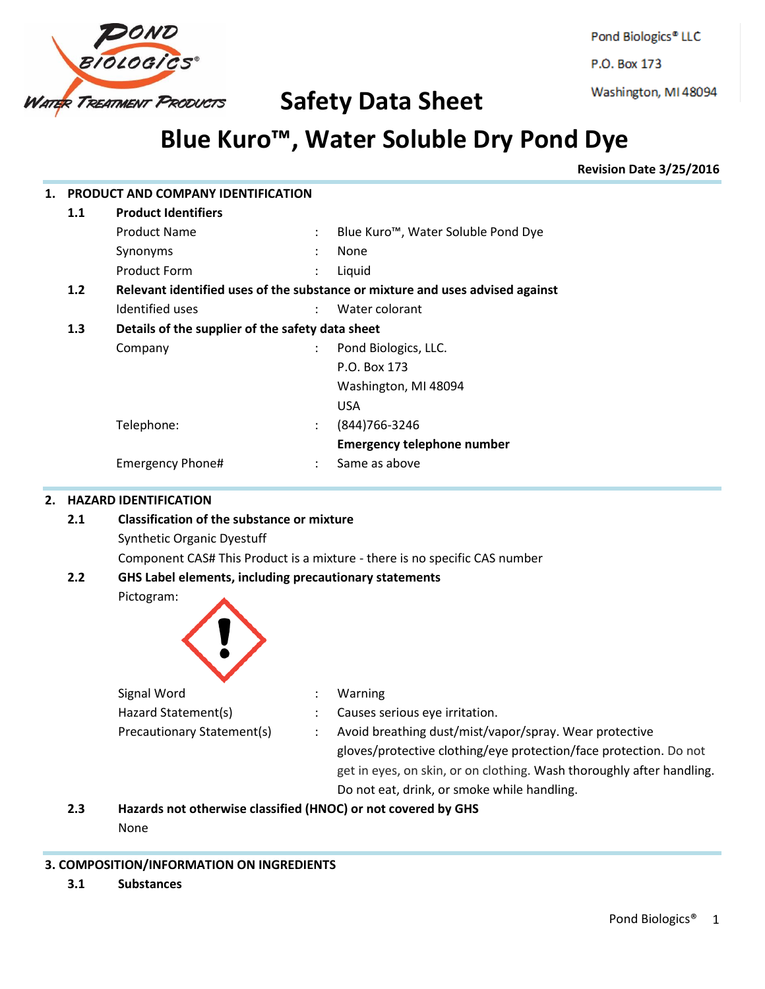

Pond Biologics® LLC

P.O. Box 173

Washington, MI 48094

# **Blue Kuro™ , Water Soluble Dry Pond Dye**

**Revision Date 3/25/2016**

| 1.                                                       |                                                                            | PRODUCT AND COMPANY IDENTIFICATION                     |                                                                               |  |  |  |  |
|----------------------------------------------------------|----------------------------------------------------------------------------|--------------------------------------------------------|-------------------------------------------------------------------------------|--|--|--|--|
|                                                          | 1.1                                                                        | <b>Product Identifiers</b>                             |                                                                               |  |  |  |  |
|                                                          |                                                                            | <b>Product Name</b>                                    | Blue Kuro <sup>™</sup> , Water Soluble Pond Dye                               |  |  |  |  |
|                                                          |                                                                            | Synonyms                                               | None                                                                          |  |  |  |  |
|                                                          |                                                                            | <b>Product Form</b>                                    | Liquid                                                                        |  |  |  |  |
|                                                          | 1.2                                                                        |                                                        | Relevant identified uses of the substance or mixture and uses advised against |  |  |  |  |
|                                                          |                                                                            | Identified uses                                        | Water colorant                                                                |  |  |  |  |
|                                                          | 1.3                                                                        | Details of the supplier of the safety data sheet       |                                                                               |  |  |  |  |
|                                                          |                                                                            | Company                                                | Pond Biologics, LLC.                                                          |  |  |  |  |
|                                                          |                                                                            |                                                        | P.O. Box 173                                                                  |  |  |  |  |
|                                                          |                                                                            |                                                        | Washington, MI 48094                                                          |  |  |  |  |
|                                                          |                                                                            |                                                        | <b>USA</b>                                                                    |  |  |  |  |
|                                                          |                                                                            | Telephone:                                             | (844) 766-3246                                                                |  |  |  |  |
|                                                          |                                                                            |                                                        | <b>Emergency telephone number</b>                                             |  |  |  |  |
|                                                          |                                                                            | Emergency Phone#<br>$\ddot{\phantom{a}}$               | Same as above                                                                 |  |  |  |  |
| <b>HAZARD IDENTIFICATION</b><br>2.                       |                                                                            |                                                        |                                                                               |  |  |  |  |
| <b>Classification of the substance or mixture</b><br>2.1 |                                                                            |                                                        |                                                                               |  |  |  |  |
| <b>Synthetic Organic Dyestuff</b>                        |                                                                            |                                                        |                                                                               |  |  |  |  |
|                                                          | Component CAS# This Product is a mixture - there is no specific CAS number |                                                        |                                                                               |  |  |  |  |
|                                                          | 2.2                                                                        | GHS Label elements, including precautionary statements |                                                                               |  |  |  |  |
|                                                          |                                                                            | Pictogram:                                             |                                                                               |  |  |  |  |
|                                                          |                                                                            | Signal Word                                            | Warning                                                                       |  |  |  |  |

| Signal Word                | Warning                                                               |
|----------------------------|-----------------------------------------------------------------------|
| Hazard Statement(s)        | Causes serious eye irritation.                                        |
| Precautionary Statement(s) | Avoid breathing dust/mist/vapor/spray. Wear protective                |
|                            | gloves/protective clothing/eye protection/face protection. Do not     |
|                            | get in eyes, on skin, or on clothing. Wash thoroughly after handling. |
|                            | Do not eat, drink, or smoke while handling.                           |

**2.3 Hazards not otherwise classified (HNOC) or not covered by GHS**

None

# **3. COMPOSITION/INFORMATION ON INGREDIENTS**

**3.1 Substances**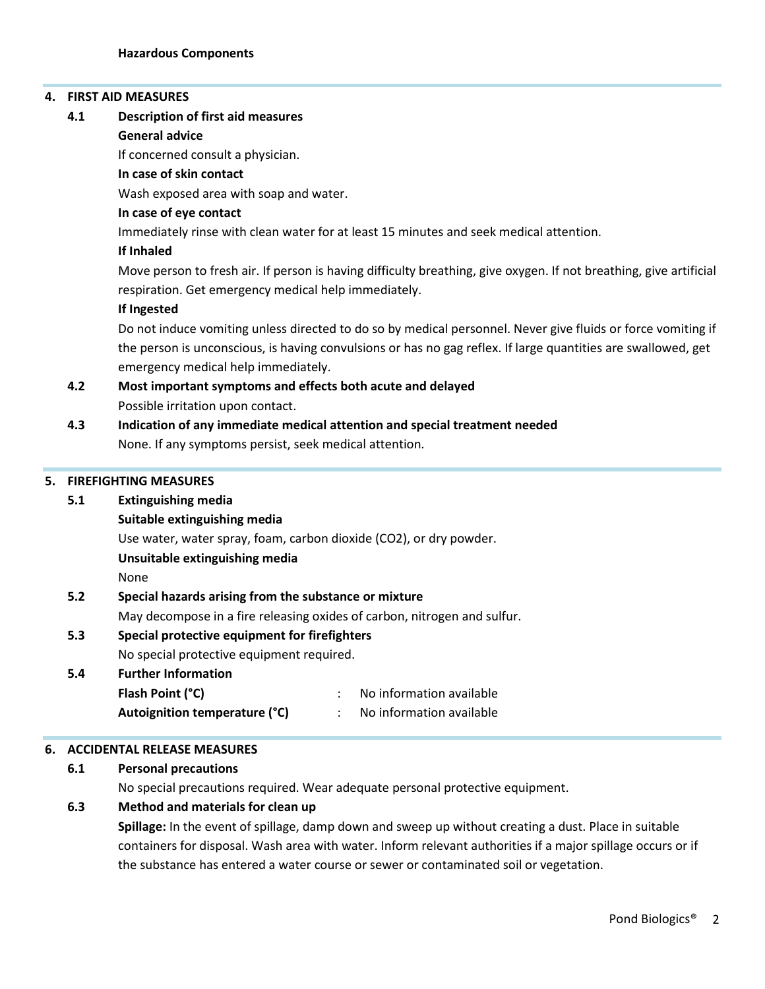#### **4. FIRST AID MEASURES**

#### **4.1 Description of first aid measures**

#### **General advice**

If concerned consult a physician.

#### **In case of skin contact**

Wash exposed area with soap and water.

#### **In case of eye contact**

Immediately rinse with clean water for at least 15 minutes and seek medical attention.

#### **If Inhaled**

Move person to fresh air. If person is having difficulty breathing, give oxygen. If not breathing, give artificial respiration. Get emergency medical help immediately.

#### **If Ingested**

Do not induce vomiting unless directed to do so by medical personnel. Never give fluids or force vomiting if the person is unconscious, is having convulsions or has no gag reflex. If large quantities are swallowed, get emergency medical help immediately.

# **4.2 Most important symptoms and effects both acute and delayed** Possible irritation upon contact.

# **4.3 Indication of any immediate medical attention and special treatment needed** None. If any symptoms persist, seek medical attention.

#### **5. FIREFIGHTING MEASURES**

#### **5.1 Extinguishing media**

**Suitable extinguishing media**

Use water, water spray, foam, carbon dioxide (CO2), or dry powder.

#### **Unsuitable extinguishing media**

None

#### **5.2 Special hazards arising from the substance or mixture**

May decompose in a fire releasing oxides of carbon, nitrogen and sulfur.

#### **5.3 Special protective equipment for firefighters**

#### No special protective equipment required.

# **5.4 Further Information**

| Flash Point (°C)              | No information available |
|-------------------------------|--------------------------|
| Autoignition temperature (°C) | No information available |

#### **6. ACCIDENTAL RELEASE MEASURES**

#### **6.1 Personal precautions**

No special precautions required. Wear adequate personal protective equipment.

#### **6.3 Method and materials for clean up**

**Spillage:** In the event of spillage, damp down and sweep up without creating a dust. Place in suitable containers for disposal. Wash area with water. Inform relevant authorities if a major spillage occurs or if the substance has entered a water course or sewer or contaminated soil or vegetation.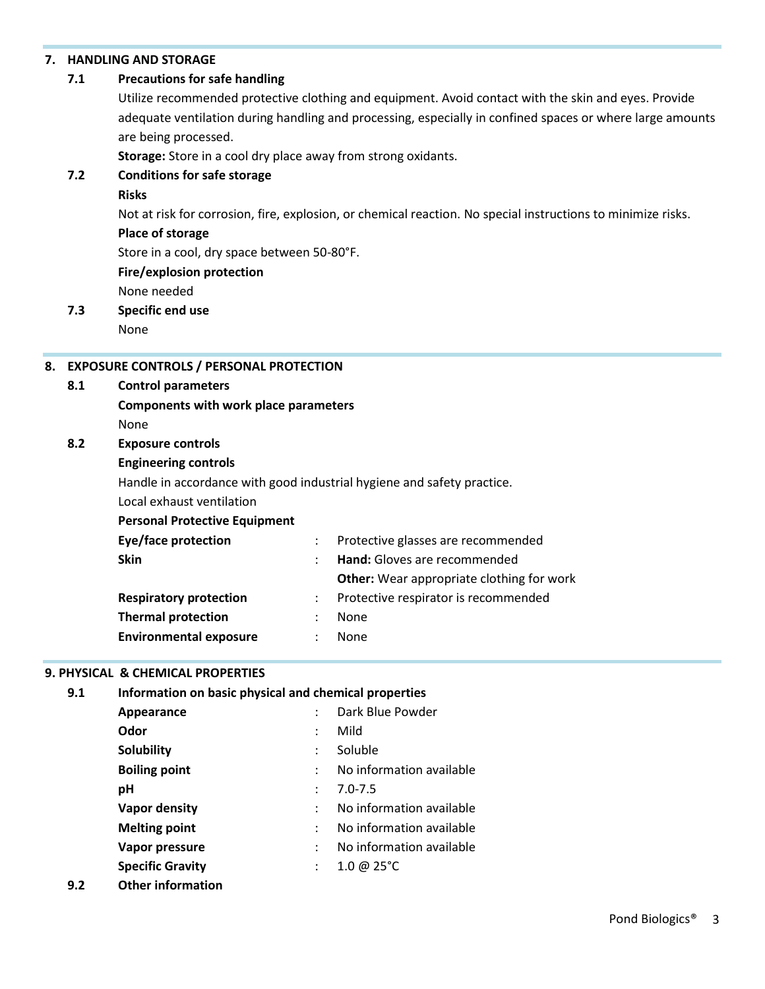#### **7. HANDLING AND STORAGE**

#### **7.1 Precautions for safe handling**

Utilize recommended protective clothing and equipment. Avoid contact with the skin and eyes. Provide adequate ventilation during handling and processing, especially in confined spaces or where large amounts are being processed.

**Storage:** Store in a cool dry place away from strong oxidants.

#### **7.2 Conditions for safe storage**

#### **Risks**

Not at risk for corrosion, fire, explosion, or chemical reaction. No special instructions to minimize risks.

#### **Place of storage**

Store in a cool, dry space between 50-80°F.

#### **Fire/explosion protection**

None needed

### **7.3 Specific end use**

None

#### **8. EXPOSURE CONTROLS / PERSONAL PROTECTION**

#### **8.1 Control parameters**

**Components with work place parameters** None

#### **8.2 Exposure controls**

#### **Engineering controls**

Handle in accordance with good industrial hygiene and safety practice.

Local exhaust ventilation

#### **Personal Protective Equipment**

| Eye/face protection           |                | Protective glasses are recommended               |  |
|-------------------------------|----------------|--------------------------------------------------|--|
| <b>Skin</b>                   |                | Hand: Gloves are recommended                     |  |
|                               |                | <b>Other:</b> Wear appropriate clothing for work |  |
| <b>Respiratory protection</b> |                | Protective respirator is recommended             |  |
| <b>Thermal protection</b>     | $\ddot{\cdot}$ | None                                             |  |
| <b>Environmental exposure</b> | ٠              | <b>None</b>                                      |  |
|                               |                |                                                  |  |

#### **9. PHYSICAL & CHEMICAL PROPERTIES**

| 9.1 | Information on basic physical and chemical properties |                      |                          |  |  |
|-----|-------------------------------------------------------|----------------------|--------------------------|--|--|
|     | Appearance                                            |                      | Dark Blue Powder         |  |  |
|     | Odor                                                  |                      | Mild                     |  |  |
|     | <b>Solubility</b>                                     |                      | Soluble                  |  |  |
|     | <b>Boiling point</b>                                  |                      | No information available |  |  |
|     | рH                                                    |                      | $7.0 - 7.5$              |  |  |
|     | <b>Vapor density</b>                                  | $\ddot{\phantom{a}}$ | No information available |  |  |
|     | <b>Melting point</b>                                  |                      | No information available |  |  |
|     | Vapor pressure                                        |                      | No information available |  |  |
|     | <b>Specific Gravity</b>                               |                      | 1.0 @ $25^{\circ}$ C     |  |  |
|     |                                                       |                      |                          |  |  |

**9.2 Other information**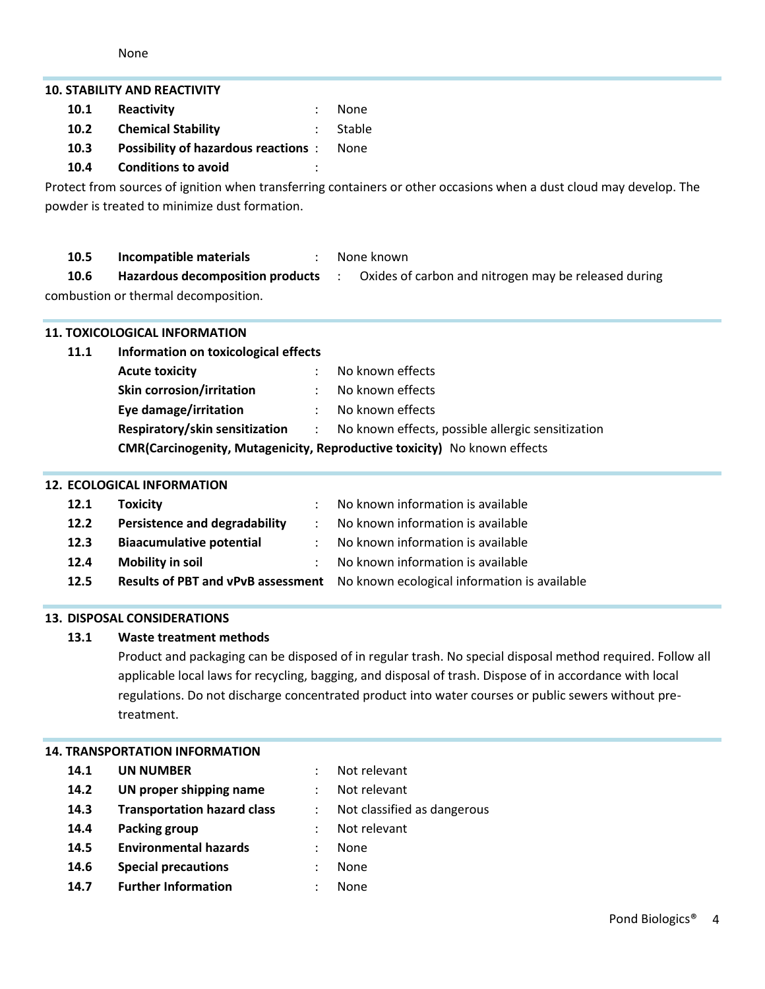|                                                                                                                     | <b>10. STABILITY AND REACTIVITY</b>                                      |                |                                                                                         |  |  |
|---------------------------------------------------------------------------------------------------------------------|--------------------------------------------------------------------------|----------------|-----------------------------------------------------------------------------------------|--|--|
| 10.1                                                                                                                | Reactivity                                                               |                | None                                                                                    |  |  |
| 10.2                                                                                                                | <b>Chemical Stability</b>                                                |                | Stable                                                                                  |  |  |
| 10.3                                                                                                                | <b>Possibility of hazardous reactions :</b>                              |                | None                                                                                    |  |  |
| 10.4                                                                                                                | <b>Conditions to avoid</b>                                               |                |                                                                                         |  |  |
| Protect from sources of ignition when transferring containers or other occasions when a dust cloud may develop. The |                                                                          |                |                                                                                         |  |  |
|                                                                                                                     | powder is treated to minimize dust formation.                            |                |                                                                                         |  |  |
|                                                                                                                     |                                                                          |                |                                                                                         |  |  |
| 10.5                                                                                                                | Incompatible materials                                                   | $\ddot{\cdot}$ | None known                                                                              |  |  |
| 10.6                                                                                                                |                                                                          |                | Hazardous decomposition products : Oxides of carbon and nitrogen may be released during |  |  |
|                                                                                                                     | combustion or thermal decomposition.                                     |                |                                                                                         |  |  |
|                                                                                                                     |                                                                          |                |                                                                                         |  |  |
|                                                                                                                     | <b>11. TOXICOLOGICAL INFORMATION</b>                                     |                |                                                                                         |  |  |
| 11.1                                                                                                                | Information on toxicological effects                                     |                |                                                                                         |  |  |
|                                                                                                                     | <b>Acute toxicity</b>                                                    |                | No known effects                                                                        |  |  |
|                                                                                                                     | <b>Skin corrosion/irritation</b>                                         |                | No known effects                                                                        |  |  |
|                                                                                                                     | Eye damage/irritation                                                    |                | No known effects                                                                        |  |  |
|                                                                                                                     | Respiratory/skin sensitization :                                         |                | No known effects, possible allergic sensitization                                       |  |  |
|                                                                                                                     | CMR(Carcinogenity, Mutagenicity, Reproductive toxicity) No known effects |                |                                                                                         |  |  |
| <b>12. ECOLOGICAL INFORMATION</b>                                                                                   |                                                                          |                |                                                                                         |  |  |
| 12.1                                                                                                                | <b>Toxicity</b>                                                          |                | No known information is available                                                       |  |  |
| 12.2                                                                                                                | <b>Persistence and degradability</b>                                     | $\ddot{\cdot}$ | No known information is available                                                       |  |  |
| 12.3                                                                                                                | <b>Biaacumulative potential</b>                                          |                | No known information is available                                                       |  |  |
| 12.4                                                                                                                | <b>Mobility in soil</b>                                                  |                | No known information is available                                                       |  |  |
| 12.5                                                                                                                | <b>Results of PBT and vPvB assessment</b>                                |                | No known ecological information is available                                            |  |  |

# **13. DISPOSAL CONSIDERATIONS**

# **13.1 Waste treatment methods**

Product and packaging can be disposed of in regular trash. No special disposal method required. Follow all applicable local laws for recycling, bagging, and disposal of trash. Dispose of in accordance with local regulations. Do not discharge concentrated product into water courses or public sewers without pretreatment.

# **14. TRANSPORTATION INFORMATION**

# **14.1 UN NUMBER** : Not relevant

- **14.2 UN proper shipping name** : Not relevant
- **14.3 Transportation hazard class** : Not classified as dangerous
- **14.4 Packing group** : Not relevant
- **14.5 Environmental hazards** : None
- **14.6 Special precautions** : None
- **14.7 Further Information** : None
- 
- 
- 
- 

Pond Biologics® 4